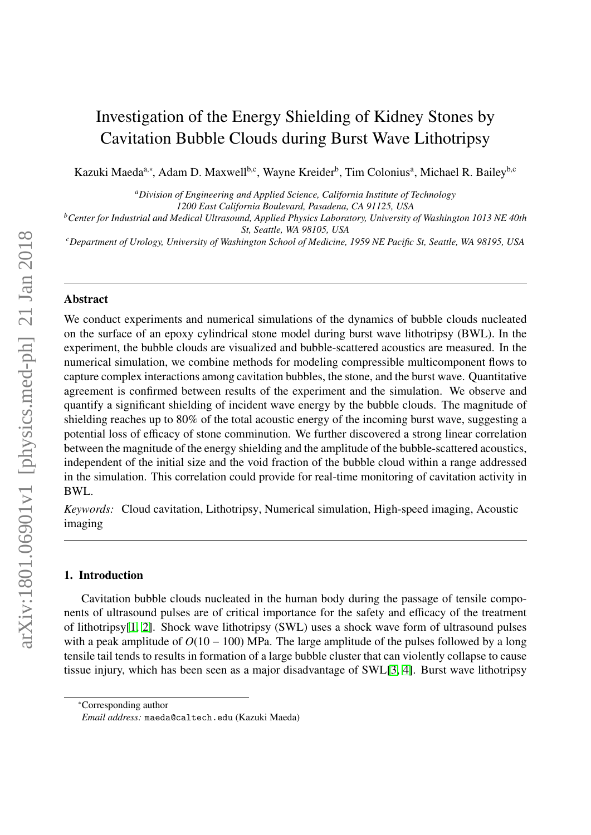# Investigation of the Energy Shielding of Kidney Stones by Cavitation Bubble Clouds during Burst Wave Lithotripsy

Kazuki Maeda<sup>a,∗</sup>, Adam D. Maxwell<sup>b,c</sup>, Wayne Kreider<sup>b</sup>, Tim Colonius<sup>a</sup>, Michael R. Bailey<sup>b,c</sup>

*<sup>a</sup>Division of Engineering and Applied Science, California Institute of Technology*

*1200 East California Boulevard, Pasadena, CA 91125, USA*

*<sup>b</sup>Center for Industrial and Medical Ultrasound, Applied Physics Laboratory, University of Washington 1013 NE 40th St, Seattle, WA 98105, USA*

*<sup>c</sup>Department of Urology, University of Washington School of Medicine, 1959 NE Pacific St, Seattle, WA 98195, USA*

### Abstract

We conduct experiments and numerical simulations of the dynamics of bubble clouds nucleated on the surface of an epoxy cylindrical stone model during burst wave lithotripsy (BWL). In the experiment, the bubble clouds are visualized and bubble-scattered acoustics are measured. In the numerical simulation, we combine methods for modeling compressible multicomponent flows to capture complex interactions among cavitation bubbles, the stone, and the burst wave. Quantitative agreement is confirmed between results of the experiment and the simulation. We observe and quantify a significant shielding of incident wave energy by the bubble clouds. The magnitude of shielding reaches up to 80% of the total acoustic energy of the incoming burst wave, suggesting a potential loss of efficacy of stone comminution. We further discovered a strong linear correlation between the magnitude of the energy shielding and the amplitude of the bubble-scattered acoustics, independent of the initial size and the void fraction of the bubble cloud within a range addressed in the simulation. This correlation could provide for real-time monitoring of cavitation activity in BWL.

*Keywords:* Cloud cavitation, Lithotripsy, Numerical simulation, High-speed imaging, Acoustic imaging

### 1. Introduction

Cavitation bubble clouds nucleated in the human body during the passage of tensile components of ultrasound pulses are of critical importance for the safety and efficacy of the treatment of lithotripsy[\[1,](#page-7-0) [2\]](#page-7-1). Shock wave lithotripsy (SWL) uses a shock wave form of ultrasound pulses with a peak amplitude of  $O(10 - 100)$  MPa. The large amplitude of the pulses followed by a long tensile tail tends to results in formation of a large bubble cluster that can violently collapse to cause tissue injury, which has been seen as a major disadvantage of SWL[\[3,](#page-7-2) [4\]](#page-7-3). Burst wave lithotripsy

<sup>∗</sup>Corresponding author

*Email address:* maeda@caltech.edu (Kazuki Maeda)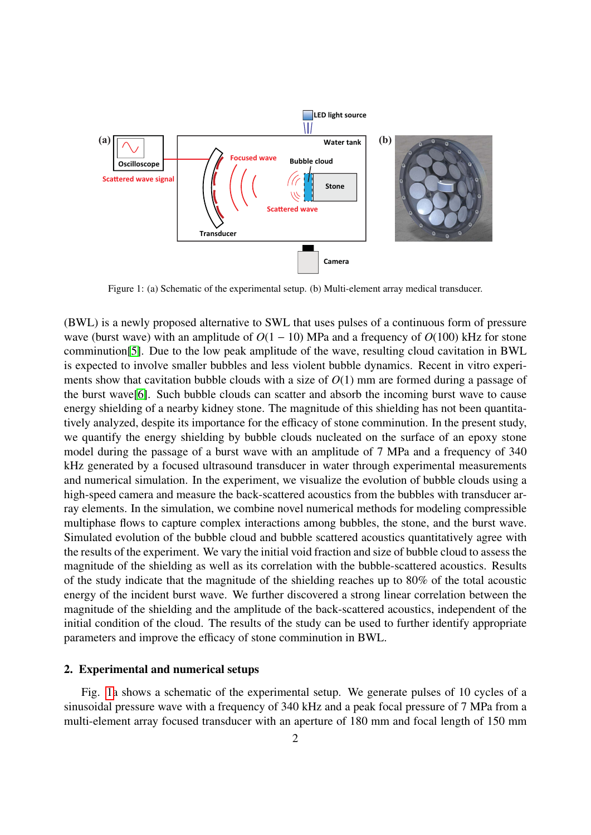<span id="page-1-0"></span>

Figure 1: (a) Schematic of the experimental setup. (b) Multi-element array medical transducer.

(BWL) is a newly proposed alternative to SWL that uses pulses of a continuous form of pressure wave (burst wave) with an amplitude of  $O(1 - 10)$  MPa and a frequency of  $O(100)$  kHz for stone comminution[\[5\]](#page-7-4). Due to the low peak amplitude of the wave, resulting cloud cavitation in BWL is expected to involve smaller bubbles and less violent bubble dynamics. Recent in vitro experiments show that cavitation bubble clouds with a size of *O*(1) mm are formed during a passage of the burst wave[\[6\]](#page-7-5). Such bubble clouds can scatter and absorb the incoming burst wave to cause energy shielding of a nearby kidney stone. The magnitude of this shielding has not been quantitatively analyzed, despite its importance for the efficacy of stone comminution. In the present study, we quantify the energy shielding by bubble clouds nucleated on the surface of an epoxy stone model during the passage of a burst wave with an amplitude of 7 MPa and a frequency of 340 kHz generated by a focused ultrasound transducer in water through experimental measurements and numerical simulation. In the experiment, we visualize the evolution of bubble clouds using a high-speed camera and measure the back-scattered acoustics from the bubbles with transducer array elements. In the simulation, we combine novel numerical methods for modeling compressible multiphase flows to capture complex interactions among bubbles, the stone, and the burst wave. Simulated evolution of the bubble cloud and bubble scattered acoustics quantitatively agree with the results of the experiment. We vary the initial void fraction and size of bubble cloud to assess the magnitude of the shielding as well as its correlation with the bubble-scattered acoustics. Results of the study indicate that the magnitude of the shielding reaches up to 80% of the total acoustic energy of the incident burst wave. We further discovered a strong linear correlation between the magnitude of the shielding and the amplitude of the back-scattered acoustics, independent of the initial condition of the cloud. The results of the study can be used to further identify appropriate parameters and improve the efficacy of stone comminution in BWL.

# 2. Experimental and numerical setups

Fig. [1a](#page-1-0) shows a schematic of the experimental setup. We generate pulses of 10 cycles of a sinusoidal pressure wave with a frequency of 340 kHz and a peak focal pressure of 7 MPa from a multi-element array focused transducer with an aperture of 180 mm and focal length of 150 mm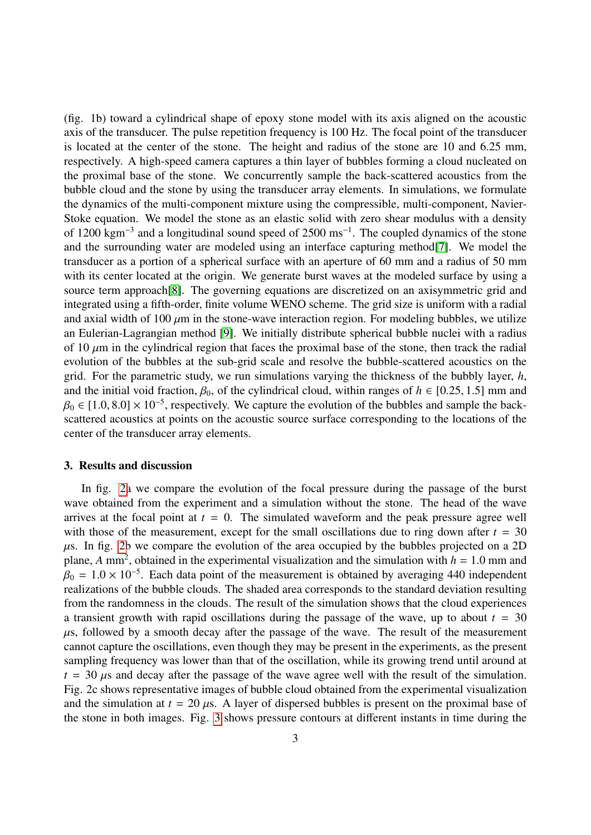(fig. 1b) toward a cylindrical shape of epoxy stone model with its axis aligned on the acoustic axis of the transducer. The pulse repetition frequency is 100 Hz. The focal point of the transducer is located at the center of the stone. The height and radius of the stone are 10 and 6.25 mm, respectively. A high-speed camera captures a thin layer of bubbles forming a cloud nucleated on the proximal base of the stone. We concurrently sample the back-scattered acoustics from the bubble cloud and the stone by using the transducer array elements. In simulations, we formulate the dynamics of the multi-component mixture using the compressible, multi-component, Navier-Stoke equation. We model the stone as an elastic solid with zero shear modulus with a density of 1200 kgm<sup>-3</sup> and a longitudinal sound speed of 2500 ms<sup>-1</sup>. The coupled dynamics of the stone and the surrounding water are modeled using an interface capturing method[\[7\]](#page-7-6). We model the transducer as a portion of a spherical surface with an aperture of 60 mm and a radius of 50 mm with its center located at the origin. We generate burst waves at the modeled surface by using a source term approach[\[8\]](#page-7-7). The governing equations are discretized on an axisymmetric grid and integrated using a fifth-order, finite volume WENO scheme. The grid size is uniform with a radial and axial width of 100  $\mu$ m in the stone-wave interaction region. For modeling bubbles, we utilize an Eulerian-Lagrangian method [\[9\]](#page-7-8). We initially distribute spherical bubble nuclei with a radius of 10  $\mu$ m in the cylindrical region that faces the proximal base of the stone, then track the radial evolution of the bubbles at the sub-grid scale and resolve the bubble-scattered acoustics on the grid. For the parametric study, we run simulations varying the thickness of the bubbly layer, *h*, and the initial void fraction,  $\beta_0$ , of the cylindrical cloud, within ranges of  $h \in [0.25, 1.5]$  mm and  $\beta_0 \in [1.0, 8.0] \times 10^{-5}$ , respectively. We capture the evolution of the bubbles and sample the back-<br>scattered acoustics at points on the acoustic source surface corresponding to the locations of the scattered acoustics at points on the acoustic source surface corresponding to the locations of the center of the transducer array elements.

## 3. Results and discussion

In fig. [2a](#page-3-0) we compare the evolution of the focal pressure during the passage of the burst wave obtained from the experiment and a simulation without the stone. The head of the wave arrives at the focal point at  $t = 0$ . The simulated waveform and the peak pressure agree well with those of the measurement, except for the small oscillations due to ring down after  $t = 30$  $\mu$ s. In fig. [2b](#page-3-0) we compare the evolution of the area occupied by the bubbles projected on a 2D plane, *A* mm<sup>2</sup>, obtained in the experimental visualization and the simulation with  $h = 1.0$  mm and  $B_0 = 1.0 \times 10^{-5}$ . Each data point of the measurement is obtained by averaging 440 independent  $\beta_0 = 1.0 \times 10^{-5}$ . Each data point of the measurement is obtained by averaging 440 independent realizations of the bubble clouds. The shaded area corresponds to the standard deviation resulting realizations of the bubble clouds. The shaded area corresponds to the standard deviation resulting from the randomness in the clouds. The result of the simulation shows that the cloud experiences a transient growth with rapid oscillations during the passage of the wave, up to about  $t = 30$  $\mu$ s, followed by a smooth decay after the passage of the wave. The result of the measurement cannot capture the oscillations, even though they may be present in the experiments, as the present sampling frequency was lower than that of the oscillation, while its growing trend until around at  $t = 30 \mu s$  and decay after the passage of the wave agree well with the result of the simulation. Fig. 2c shows representative images of bubble cloud obtained from the experimental visualization and the simulation at  $t = 20 \mu s$ . A layer of dispersed bubbles is present on the proximal base of the stone in both images. Fig. [3](#page-4-0) shows pressure contours at different instants in time during the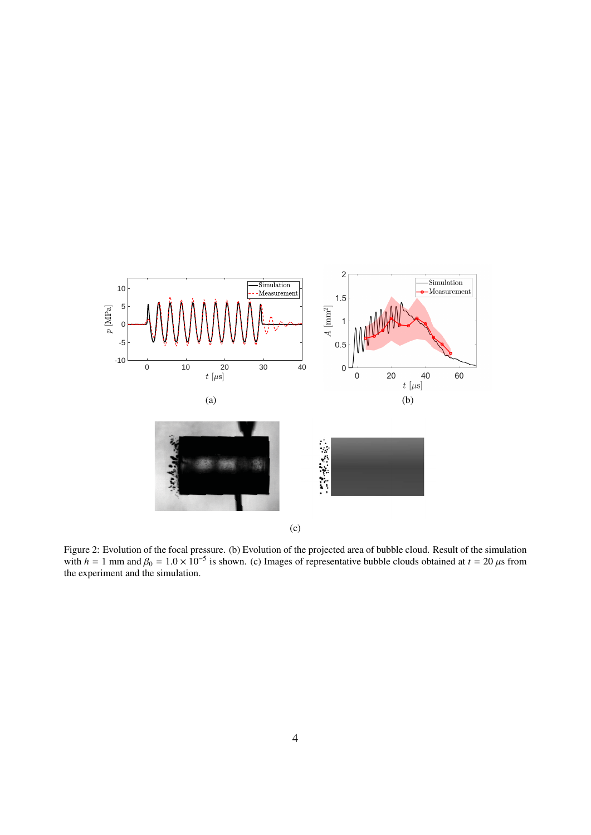<span id="page-3-0"></span>

Figure 2: Evolution of the focal pressure. (b) Evolution of the projected area of bubble cloud. Result of the simulation with  $h = 1$  mm and  $\beta_0 = 1.0 \times 10^{-5}$  is shown. (c) Images of representative bubble clouds obtained at  $t = 20 \,\mu s$  from the experiment and the simulation.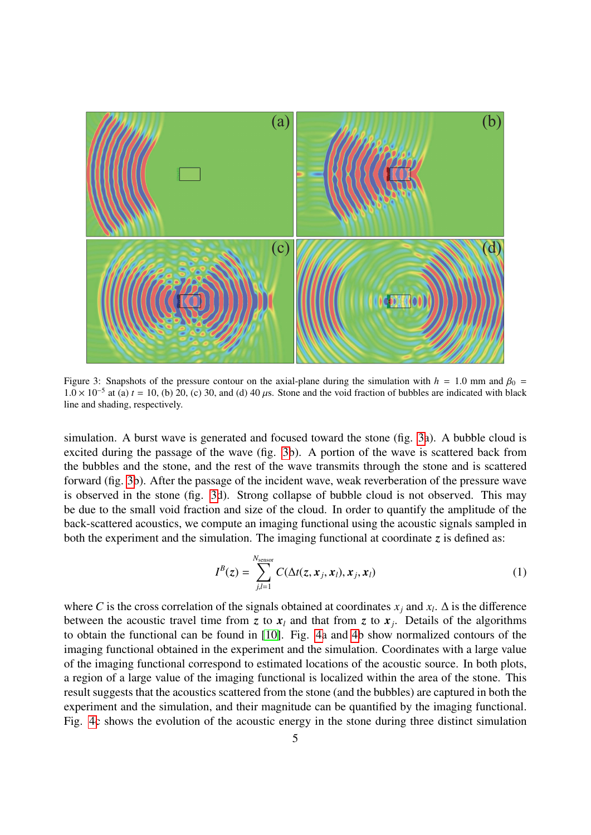<span id="page-4-0"></span>

Figure 3: Snapshots of the pressure contour on the axial-plane during the simulation with  $h = 1.0$  mm and  $\beta_0 =$ 1.0 × 10<sup>-5</sup> at (a) *t* = 10, (b) 20, (c) 30, and (d) 40 μs. Stone and the void fraction of bubbles are indicated with black<br>line and shading respectively line and shading, respectively.

simulation. A burst wave is generated and focused toward the stone (fig. [3a](#page-4-0)). A bubble cloud is excited during the passage of the wave (fig. [3b](#page-4-0)). A portion of the wave is scattered back from the bubbles and the stone, and the rest of the wave transmits through the stone and is scattered forward (fig. [3b](#page-4-0)). After the passage of the incident wave, weak reverberation of the pressure wave is observed in the stone (fig. [3d](#page-4-0)). Strong collapse of bubble cloud is not observed. This may be due to the small void fraction and size of the cloud. In order to quantify the amplitude of the back-scattered acoustics, we compute an imaging functional using the acoustic signals sampled in both the experiment and the simulation. The imaging functional at coordinate  $\zeta$  is defined as:

$$
I^{B}(z) = \sum_{j,l=1}^{N_{\text{sensor}}} C(\Delta t(z, x_j, x_l), x_j, x_l)
$$
 (1)

where *C* is the cross correlation of the signals obtained at coordinates  $x_j$  and  $x_l$ .  $\Delta$  is the difference between the acoustic travel time from *z* to  $x_l$  and that from *z* to  $x_j$ . Details of the algorithms to obtain the functional can be found in [\[10\]](#page-7-9). Fig. [4a](#page-5-0) and [4b](#page-5-0) show normalized contours of the imaging functional obtained in the experiment and the simulation. Coordinates with a large value of the imaging functional correspond to estimated locations of the acoustic source. In both plots, a region of a large value of the imaging functional is localized within the area of the stone. This result suggests that the acoustics scattered from the stone (and the bubbles) are captured in both the experiment and the simulation, and their magnitude can be quantified by the imaging functional. Fig. [4c](#page-5-0) shows the evolution of the acoustic energy in the stone during three distinct simulation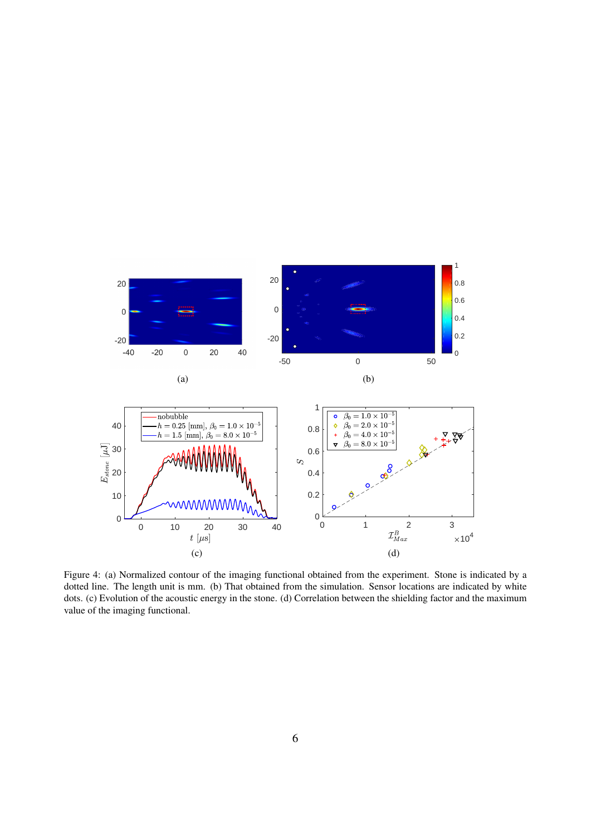<span id="page-5-0"></span>

Figure 4: (a) Normalized contour of the imaging functional obtained from the experiment. Stone is indicated by a dotted line. The length unit is mm. (b) That obtained from the simulation. Sensor locations are indicated by white dots. (c) Evolution of the acoustic energy in the stone. (d) Correlation between the shielding factor and the maximum value of the imaging functional.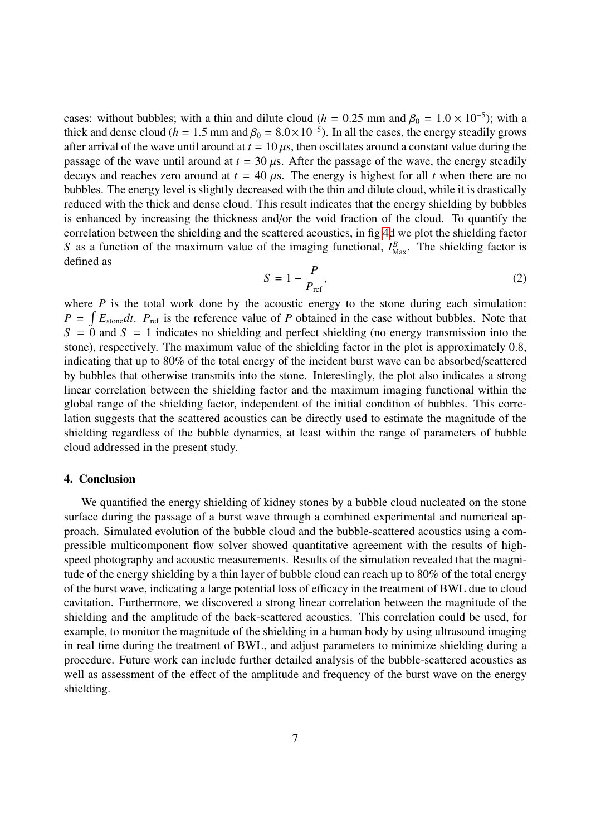cases: without bubbles; with a thin and dilute cloud (*h* = 0.25 mm and  $\beta_0 = 1.0 \times 10^{-5}$ ); with a thick and dense cloud (*h* = 1.5 mm and  $\beta_0 = 8.0 \times 10^{-5}$ ). In all the cases, the energy steadily grows thick and dense cloud ( $h = 1.5$  mm and  $\beta_0 = 8.0 \times 10^{-5}$ ). In all the cases, the energy steadily grows<br>after arrival of the wave until around at  $t = 10 \mu s$ , then oscillates around a constant value during the after arrival of the wave until around at  $t = 10 \,\mu s$ , then oscillates around a constant value during the passage of the wave until around at  $t = 30 \,\mu s$ . After the passage of the wave, the energy steadily decays and reaches zero around at  $t = 40 \mu s$ . The energy is highest for all *t* when there are no bubbles. The energy level is slightly decreased with the thin and dilute cloud, while it is drastically reduced with the thick and dense cloud. This result indicates that the energy shielding by bubbles is enhanced by increasing the thickness and/or the void fraction of the cloud. To quantify the correlation between the shielding and the scattered acoustics, in fig [4d](#page-5-0) we plot the shielding factor *S* as a function of the maximum value of the imaging functional,  $I_{\text{Max}}^B$ . The shielding factor is defined as

$$
S = 1 - \frac{P}{P_{\text{ref}}},\tag{2}
$$

where  $P$  is the total work done by the acoustic energy to the stone during each simulation:  $P = \int E_{\text{stone}} dt$ .  $P_{\text{ref}}$  is the reference value of *P* obtained in the case without bubbles. Note that  $S = 0$  and  $S = 1$  indicates no shielding and perfect shielding (no energy transmission into the stone), respectively. The maximum value of the shielding factor in the plot is approximately 0.8, indicating that up to 80% of the total energy of the incident burst wave can be absorbed/scattered by bubbles that otherwise transmits into the stone. Interestingly, the plot also indicates a strong linear correlation between the shielding factor and the maximum imaging functional within the global range of the shielding factor, independent of the initial condition of bubbles. This correlation suggests that the scattered acoustics can be directly used to estimate the magnitude of the shielding regardless of the bubble dynamics, at least within the range of parameters of bubble cloud addressed in the present study.

# 4. Conclusion

We quantified the energy shielding of kidney stones by a bubble cloud nucleated on the stone surface during the passage of a burst wave through a combined experimental and numerical approach. Simulated evolution of the bubble cloud and the bubble-scattered acoustics using a compressible multicomponent flow solver showed quantitative agreement with the results of highspeed photography and acoustic measurements. Results of the simulation revealed that the magnitude of the energy shielding by a thin layer of bubble cloud can reach up to 80% of the total energy of the burst wave, indicating a large potential loss of efficacy in the treatment of BWL due to cloud cavitation. Furthermore, we discovered a strong linear correlation between the magnitude of the shielding and the amplitude of the back-scattered acoustics. This correlation could be used, for example, to monitor the magnitude of the shielding in a human body by using ultrasound imaging in real time during the treatment of BWL, and adjust parameters to minimize shielding during a procedure. Future work can include further detailed analysis of the bubble-scattered acoustics as well as assessment of the effect of the amplitude and frequency of the burst wave on the energy shielding.